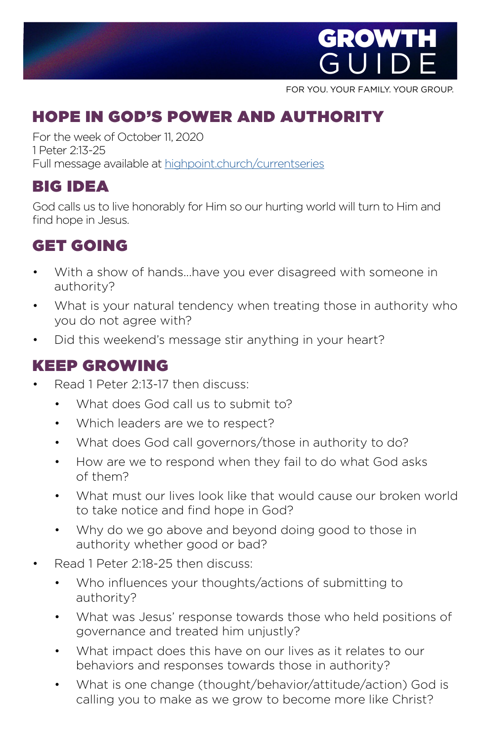

FOR YOU. YOUR FAMILY. YOUR GROUP.

## HOPE IN GOD'S POWER AND AUTHORITY

For the week of October 11, 2020 1 Peter 2:13-25 Full message available at [highpoint.church/currentseries](http://highpoint.church/currentseries)

### BIG IDEA

God calls us to live honorably for Him so our hurting world will turn to Him and find hope in Jesus.

# GET GOIN[G](https://www.highpoint.church/reconciliation/)

- With a show of hands...have you ever disagreed with someone in authority?
- What is your natural tendency when treating those in authority who you do not agree with?
- Did this weekend's message stir anything in your heart?

#### KEEP GROWING

- Read 1 Peter 2:13-17 then discuss:
	- What does God call us to submit to?
	- Which leaders are we to respect?
	- What does God call governors/those in authority to do?
	- How are we to respond when they fail to do what God asks of them?
	- What must our lives look like that would cause our broken world to take notice and find hope in God?
	- Why do we go above and beyond doing good to those in authority whether good or bad?
- Read 1 Peter 2:18-25 then discuss:
	- Who influences your thoughts/actions of submitting to authority?
	- What was Jesus' response towards those who held positions of governance and treated him unjustly?
	- What impact does this have on our lives as it relates to our behaviors and responses towards those in authority?
	- What is one change (thought/behavior/attitude/action) God is calling you to make as we grow to become more like Christ?